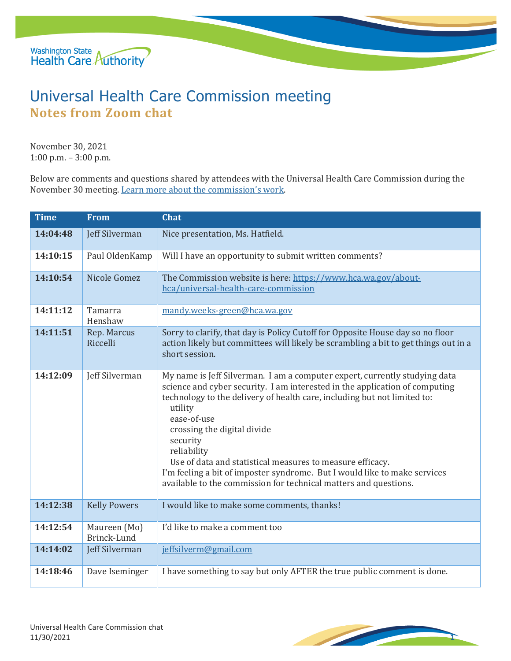

## Universal Health Care Commission meeting **Notes from Zoom chat**

November 30, 2021 1:00 p.m. – 3:00 p.m.

Below are comments and questions shared by attendees with the Universal Health Care Commission during the November 30 meeting. [Learn more about the commission's](https://www.hca.wa.gov/about-hca/universal-health-care-commission/) work.

| <b>Time</b> | <b>From</b>                 | <b>Chat</b>                                                                                                                                                                                                                                                                                                                                                                                                                                                                                                                             |
|-------------|-----------------------------|-----------------------------------------------------------------------------------------------------------------------------------------------------------------------------------------------------------------------------------------------------------------------------------------------------------------------------------------------------------------------------------------------------------------------------------------------------------------------------------------------------------------------------------------|
| 14:04:48    | Jeff Silverman              | Nice presentation, Ms. Hatfield.                                                                                                                                                                                                                                                                                                                                                                                                                                                                                                        |
| 14:10:15    | Paul OldenKamp              | Will I have an opportunity to submit written comments?                                                                                                                                                                                                                                                                                                                                                                                                                                                                                  |
| 14:10:54    | Nicole Gomez                | The Commission website is here: https://www.hca.wa.gov/about-<br>hca/universal-health-care-commission                                                                                                                                                                                                                                                                                                                                                                                                                                   |
| 14:11:12    | Tamarra<br>Henshaw          | mandy.weeks-green@hca.wa.gov                                                                                                                                                                                                                                                                                                                                                                                                                                                                                                            |
| 14:11:51    | Rep. Marcus<br>Riccelli     | Sorry to clarify, that day is Policy Cutoff for Opposite House day so no floor<br>action likely but committees will likely be scrambling a bit to get things out in a<br>short session.                                                                                                                                                                                                                                                                                                                                                 |
| 14:12:09    | Jeff Silverman              | My name is Jeff Silverman. I am a computer expert, currently studying data<br>science and cyber security. I am interested in the application of computing<br>technology to the delivery of health care, including but not limited to:<br>utility<br>ease-of-use<br>crossing the digital divide<br>security<br>reliability<br>Use of data and statistical measures to measure efficacy.<br>I'm feeling a bit of imposter syndrome. But I would like to make services<br>available to the commission for technical matters and questions. |
| 14:12:38    | <b>Kelly Powers</b>         | I would like to make some comments, thanks!                                                                                                                                                                                                                                                                                                                                                                                                                                                                                             |
| 14:12:54    | Maureen (Mo)<br>Brinck-Lund | I'd like to make a comment too                                                                                                                                                                                                                                                                                                                                                                                                                                                                                                          |
| 14:14:02    | Jeff Silverman              | jeffsilverm@gmail.com                                                                                                                                                                                                                                                                                                                                                                                                                                                                                                                   |
| 14:18:46    | Dave Iseminger              | I have something to say but only AFTER the true public comment is done.                                                                                                                                                                                                                                                                                                                                                                                                                                                                 |

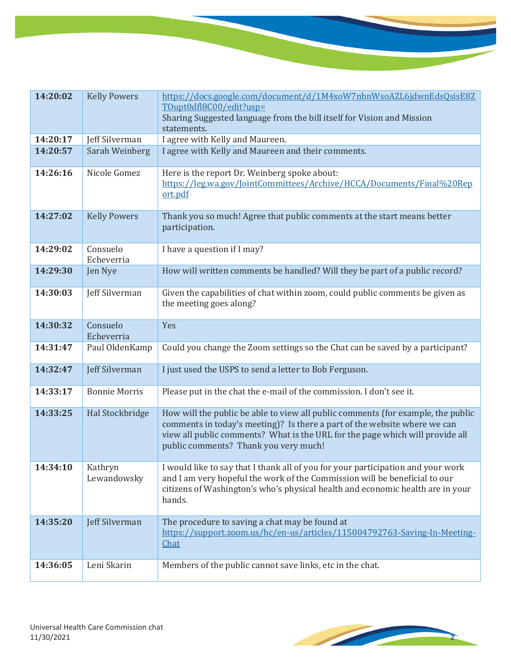| 14:20:02 | <b>Kelly Powers</b>    | https://docs.google.com/document/d/1M4xoW7nbnWsoAZL6jdwnEdsQsisE8Z                                                                                                                                                                                                                      |
|----------|------------------------|-----------------------------------------------------------------------------------------------------------------------------------------------------------------------------------------------------------------------------------------------------------------------------------------|
|          |                        | TOupt0dfl8C00/edit?usp=                                                                                                                                                                                                                                                                 |
|          |                        | Sharing Suggested language from the bill itself for Vision and Mission                                                                                                                                                                                                                  |
|          |                        | statements.                                                                                                                                                                                                                                                                             |
| 14:20:17 | Jeff Silverman         | I agree with Kelly and Maureen.                                                                                                                                                                                                                                                         |
| 14:20:57 | Sarah Weinberg         | I agree with Kelly and Maureen and their comments.                                                                                                                                                                                                                                      |
| 14:26:16 | Nicole Gomez           | Here is the report Dr. Weinberg spoke about:<br>https://leg.wa.gov/JointCommittees/Archive/HCCA/Documents/Final%20Rep<br>ort.pdf                                                                                                                                                        |
| 14:27:02 | <b>Kelly Powers</b>    | Thank you so much! Agree that public comments at the start means better<br>participation.                                                                                                                                                                                               |
| 14:29:02 | Consuelo<br>Echeverria | I have a question if I may?                                                                                                                                                                                                                                                             |
| 14:29:30 | Jen Nye                | How will written comments be handled? Will they be part of a public record?                                                                                                                                                                                                             |
| 14:30:03 | Jeff Silverman         | Given the capabilities of chat within zoom, could public comments be given as<br>the meeting goes along?                                                                                                                                                                                |
| 14:30:32 | Consuelo<br>Echeverria | Yes                                                                                                                                                                                                                                                                                     |
| 14:31:47 | Paul OldenKamp         | Could you change the Zoom settings so the Chat can be saved by a participant?                                                                                                                                                                                                           |
| 14:32:47 | Jeff Silverman         | I just used the USPS to send a letter to Bob Ferguson.                                                                                                                                                                                                                                  |
| 14:33:17 | <b>Bonnie Morris</b>   | Please put in the chat the e-mail of the commission. I don't see it.                                                                                                                                                                                                                    |
| 14:33:25 | Hal Stockbridge        | How will the public be able to view all public comments (for example, the public<br>comments in today's meeting)? Is there a part of the website where we can<br>view all public comments? What is the URL for the page which will provide all<br>public comments? Thank you very much! |
| 14:34:10 | Kathryn<br>Lewandowsky | I would like to say that I thank all of you for your participation and your work<br>and I am very hopeful the work of the Commission will be beneficial to our<br>citizens of Washington's who's physical health and economic health are in your<br>hands.                              |
| 14:35:20 | Jeff Silverman         | The procedure to saving a chat may be found at<br>https://support.zoom.us/hc/en-us/articles/115004792763-Saving-In-Meeting-<br>Chat                                                                                                                                                     |
| 14:36:05 | Leni Skarin            | Members of the public cannot save links, etc in the chat.                                                                                                                                                                                                                               |